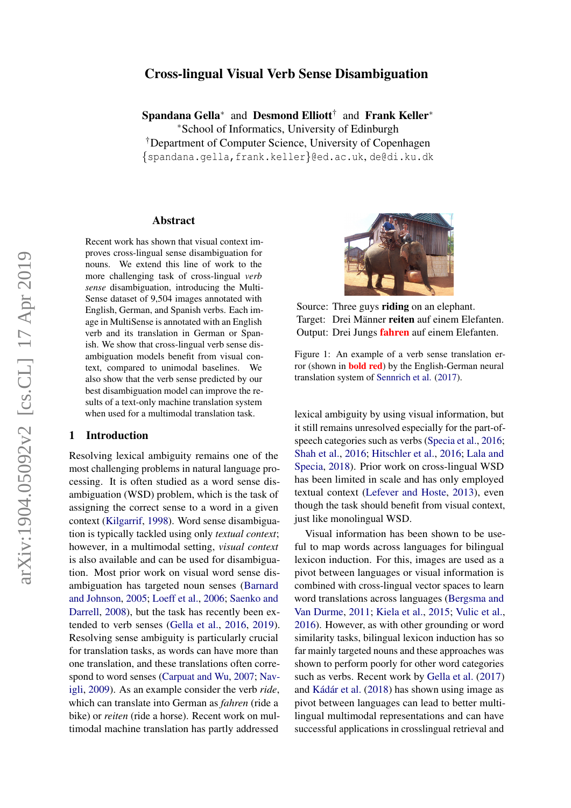# arXiv:1904.05092v2 [cs.CL] 17 Apr 2019 arXiv:1904.05092v2 [cs.CL] 17 Apr 2019

# Cross-lingual Visual Verb Sense Disambiguation

Spandana Gella<sup>∗</sup> and Desmond Elliott<sup>†</sup> and Frank Keller<sup>∗</sup> <sup>∗</sup>School of Informatics, University of Edinburgh †Department of Computer Science, University of Copenhagen {spandana.gella,frank.keller}@ed.ac.uk, de@di.ku.dk

## Abstract

Recent work has shown that visual context improves cross-lingual sense disambiguation for nouns. We extend this line of work to the more challenging task of cross-lingual *verb sense* disambiguation, introducing the Multi-Sense dataset of 9,504 images annotated with English, German, and Spanish verbs. Each image in MultiSense is annotated with an English verb and its translation in German or Spanish. We show that cross-lingual verb sense disambiguation models benefit from visual context, compared to unimodal baselines. We also show that the verb sense predicted by our best disambiguation model can improve the results of a text-only machine translation system when used for a multimodal translation task.

# 1 Introduction

Resolving lexical ambiguity remains one of the most challenging problems in natural language processing. It is often studied as a word sense disambiguation (WSD) problem, which is the task of assigning the correct sense to a word in a given context [\(Kilgarrif,](#page-5-0) [1998\)](#page-5-0). Word sense disambiguation is typically tackled using only *textual context*; however, in a multimodal setting, *visual context* is also available and can be used for disambiguation. Most prior work on visual word sense disambiguation has targeted noun senses [\(Barnard](#page-4-0) [and Johnson,](#page-4-0) [2005;](#page-4-0) [Loeff et al.,](#page-5-1) [2006;](#page-5-1) [Saenko and](#page-5-2) [Darrell,](#page-5-2) [2008\)](#page-5-2), but the task has recently been extended to verb senses [\(Gella et al.,](#page-5-3) [2016,](#page-5-3) [2019\)](#page-5-4). Resolving sense ambiguity is particularly crucial for translation tasks, as words can have more than one translation, and these translations often correspond to word senses [\(Carpuat and Wu,](#page-4-1) [2007;](#page-4-1) [Nav](#page-5-5)[igli,](#page-5-5) [2009\)](#page-5-5). As an example consider the verb *ride*, which can translate into German as *fahren* (ride a bike) or *reiten* (ride a horse). Recent work on multimodal machine translation has partly addressed

<span id="page-0-0"></span>

Source: Three guys **riding** on an elephant. Target: Drei Männer reiten auf einem Elefanten. Output: Drei Jungs fahren auf einem Elefanten.

Figure 1: An example of a verb sense translation error (shown in bold red) by the English-German neural translation system of [Sennrich et al.](#page-5-6) [\(2017\)](#page-5-6).

lexical ambiguity by using visual information, but it still remains unresolved especially for the part-ofspeech categories such as verbs [\(Specia et al.,](#page-6-0) [2016;](#page-6-0) [Shah et al.,](#page-6-1) [2016;](#page-6-1) [Hitschler et al.,](#page-5-7) [2016;](#page-5-7) [Lala and](#page-5-8) [Specia,](#page-5-8) [2018\)](#page-5-8). Prior work on cross-lingual WSD has been limited in scale and has only employed textual context [\(Lefever and Hoste,](#page-5-9) [2013\)](#page-5-9), even though the task should benefit from visual context, just like monolingual WSD.

Visual information has been shown to be useful to map words across languages for bilingual lexicon induction. For this, images are used as a pivot between languages or visual information is combined with cross-lingual vector spaces to learn word translations across languages [\(Bergsma and](#page-4-2) [Van Durme,](#page-4-2) [2011;](#page-4-2) [Kiela et al.,](#page-5-10) [2015;](#page-5-10) [Vulic et al.,](#page-6-2) [2016\)](#page-6-2). However, as with other grounding or word similarity tasks, bilingual lexicon induction has so far mainly targeted nouns and these approaches was shown to perform poorly for other word categories such as verbs. Recent work by [Gella et al.](#page-5-11) [\(2017\)](#page-5-11) and Kádár et al. [\(2018\)](#page-5-12) has shown using image as pivot between languages can lead to better multilingual multimodal representations and can have successful applications in crosslingual retrieval and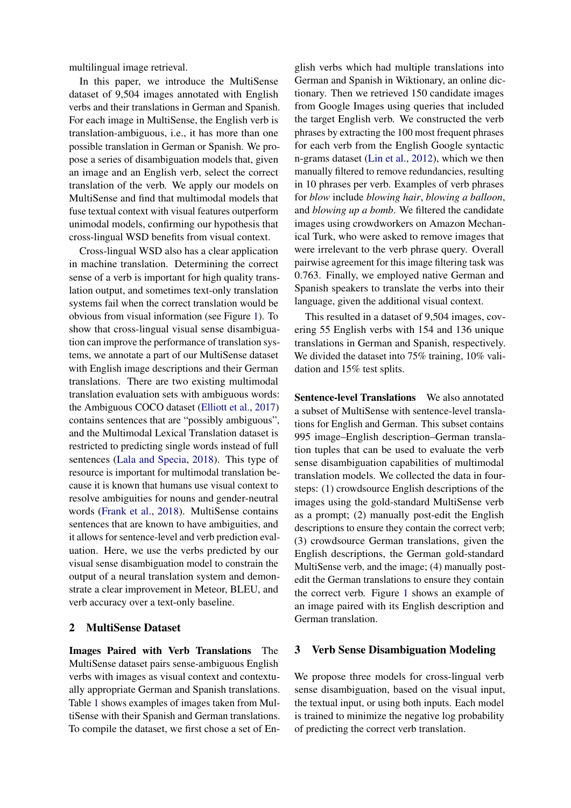multilingual image retrieval.

In this paper, we introduce the MultiSense dataset of 9,504 images annotated with English verbs and their translations in German and Spanish. For each image in MultiSense, the English verb is translation-ambiguous, i.e., it has more than one possible translation in German or Spanish. We propose a series of disambiguation models that, given an image and an English verb, select the correct translation of the verb. We apply our models on MultiSense and find that multimodal models that fuse textual context with visual features outperform unimodal models, confirming our hypothesis that cross-lingual WSD benefits from visual context.

Cross-lingual WSD also has a clear application in machine translation. Determining the correct sense of a verb is important for high quality translation output, and sometimes text-only translation systems fail when the correct translation would be obvious from visual information (see Figure [1\)](#page-0-0). To show that cross-lingual visual sense disambiguation can improve the performance of translation systems, we annotate a part of our MultiSense dataset with English image descriptions and their German translations. There are two existing multimodal translation evaluation sets with ambiguous words: the Ambiguous COCO dataset [\(Elliott et al.,](#page-4-3) [2017\)](#page-4-3) contains sentences that are "possibly ambiguous", and the Multimodal Lexical Translation dataset is restricted to predicting single words instead of full sentences [\(Lala and Specia,](#page-5-8) [2018\)](#page-5-8). This type of resource is important for multimodal translation because it is known that humans use visual context to resolve ambiguities for nouns and gender-neutral words [\(Frank et al.,](#page-5-13) [2018\)](#page-5-13). MultiSense contains sentences that are known to have ambiguities, and it allows for sentence-level and verb prediction evaluation. Here, we use the verbs predicted by our visual sense disambiguation model to constrain the output of a neural translation system and demonstrate a clear improvement in Meteor, BLEU, and verb accuracy over a text-only baseline.

# 2 MultiSense Dataset

Images Paired with Verb Translations The MultiSense dataset pairs sense-ambiguous English verbs with images as visual context and contextually appropriate German and Spanish translations. Table [1](#page-2-0) shows examples of images taken from MultiSense with their Spanish and German translations. To compile the dataset, we first chose a set of En-

glish verbs which had multiple translations into German and Spanish in Wiktionary, an online dictionary. Then we retrieved 150 candidate images from Google Images using queries that included the target English verb. We constructed the verb phrases by extracting the 100 most frequent phrases for each verb from the English Google syntactic n-grams dataset [\(Lin et al.,](#page-5-14) [2012\)](#page-5-14), which we then manually filtered to remove redundancies, resulting in 10 phrases per verb. Examples of verb phrases for *blow* include *blowing hair*, *blowing a balloon*, and *blowing up a bomb*. We filtered the candidate images using crowdworkers on Amazon Mechanical Turk, who were asked to remove images that were irrelevant to the verb phrase query. Overall pairwise agreement for this image filtering task was 0.763. Finally, we employed native German and Spanish speakers to translate the verbs into their language, given the additional visual context.

This resulted in a dataset of 9,504 images, covering 55 English verbs with 154 and 136 unique translations in German and Spanish, respectively. We divided the dataset into 75% training, 10% validation and 15% test splits.

Sentence-level Translations We also annotated a subset of MultiSense with sentence-level translations for English and German. This subset contains 995 image–English description–German translation tuples that can be used to evaluate the verb sense disambiguation capabilities of multimodal translation models. We collected the data in foursteps: (1) crowdsource English descriptions of the images using the gold-standard MultiSense verb as a prompt; (2) manually post-edit the English descriptions to ensure they contain the correct verb; (3) crowdsource German translations, given the English descriptions, the German gold-standard MultiSense verb, and the image; (4) manually postedit the German translations to ensure they contain the correct verb. Figure [1](#page-0-0) shows an example of an image paired with its English description and German translation.

# 3 Verb Sense Disambiguation Modeling

We propose three models for cross-lingual verb sense disambiguation, based on the visual input, the textual input, or using both inputs. Each model is trained to minimize the negative log probability of predicting the correct verb translation.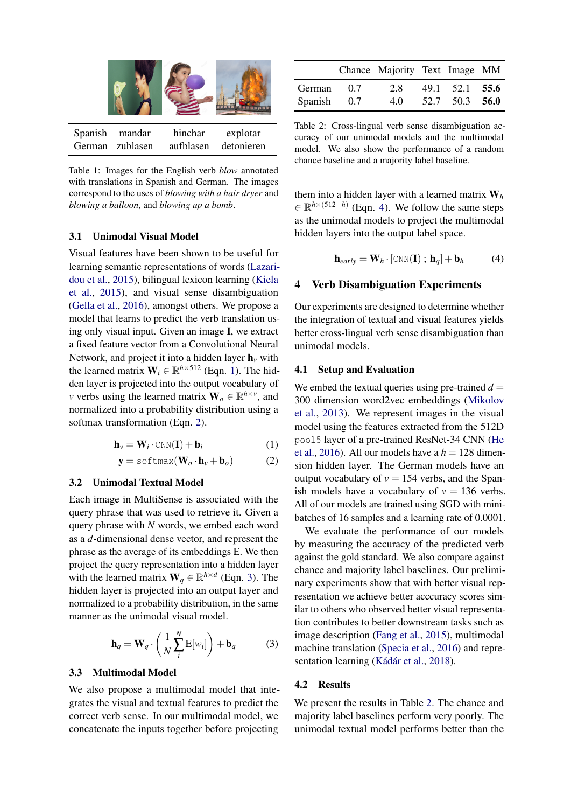<span id="page-2-0"></span>

Table 1: Images for the English verb *blow* annotated with translations in Spanish and German. The images correspond to the uses of *blowing with a hair dryer* and *blowing a balloon*, and *blowing up a bomb*.

# <span id="page-2-6"></span>3.1 Unimodal Visual Model

Visual features have been shown to be useful for learning semantic representations of words [\(Lazari](#page-5-15)[dou et al.,](#page-5-15) [2015\)](#page-5-15), bilingual lexicon learning [\(Kiela](#page-5-10) [et al.,](#page-5-10) [2015\)](#page-5-10), and visual sense disambiguation [\(Gella et al.,](#page-5-3) [2016\)](#page-5-3), amongst others. We propose a model that learns to predict the verb translation using only visual input. Given an image I, we extract a fixed feature vector from a Convolutional Neural Network, and project it into a hidden layer  $h<sub>v</sub>$  with the learned matrix  $W_i \in \mathbb{R}^{h \times 512}$  (Eqn. [1\)](#page-2-1). The hidden layer is projected into the output vocabulary of *v* verbs using the learned matrix  $\mathbf{W}_o \in \mathbb{R}^{h \times v}$ , and normalized into a probability distribution using a softmax transformation (Eqn. [2\)](#page-2-2).

$$
\mathbf{h}_{\nu} = \mathbf{W}_{i} \cdot \text{CNN}(\mathbf{I}) + \mathbf{b}_{i} \tag{1}
$$

$$
\mathbf{y} = \text{softmax}(\mathbf{W}_o \cdot \mathbf{h}_v + \mathbf{b}_o) \tag{2}
$$

# 3.2 Unimodal Textual Model

Each image in MultiSense is associated with the query phrase that was used to retrieve it. Given a query phrase with *N* words, we embed each word as a *d*-dimensional dense vector, and represent the phrase as the average of its embeddings E. We then project the query representation into a hidden layer with the learned matrix  $W_q \in \mathbb{R}^{h \times d}$  (Eqn. [3\)](#page-2-3). The hidden layer is projected into an output layer and normalized to a probability distribution, in the same manner as the unimodal visual model.

$$
\mathbf{h}_q = \mathbf{W}_q \cdot \left(\frac{1}{N} \sum_{i}^{N} \mathbf{E}[w_i]\right) + \mathbf{b}_q \tag{3}
$$

## 3.3 Multimodal Model

We also propose a multimodal model that integrates the visual and textual features to predict the correct verb sense. In our multimodal model, we concatenate the inputs together before projecting

<span id="page-2-5"></span>

|             |                 | Chance Majority Text Image MM |                |  |
|-------------|-----------------|-------------------------------|----------------|--|
| German      | $\overline{07}$ | 2.8                           | 49.1 52.1 55.6 |  |
| Spanish 0.7 |                 | 4.0                           | 52.7 50.3 56.0 |  |

Table 2: Cross-lingual verb sense disambiguation accuracy of our unimodal models and the multimodal model. We also show the performance of a random chance baseline and a majority label baseline.

them into a hidden layer with a learned matrix  $W_h$  $\in \mathbb{R}^{h \times (512+h)}$  (Eqn. [4\)](#page-2-4). We follow the same steps as the unimodal models to project the multimodal hidden layers into the output label space.

<span id="page-2-4"></span>
$$
\mathbf{h}_{early} = \mathbf{W}_h \cdot [\text{CNN}(\mathbf{I}) \; ; \; \mathbf{h}_q] + \mathbf{b}_h \tag{4}
$$

## 4 Verb Disambiguation Experiments

Our experiments are designed to determine whether the integration of textual and visual features yields better cross-lingual verb sense disambiguation than unimodal models.

#### 4.1 Setup and Evaluation

<span id="page-2-2"></span><span id="page-2-1"></span>We embed the textual queries using pre-trained  $d =$ 300 dimension word2vec embeddings [\(Mikolov](#page-5-16) [et al.,](#page-5-16) [2013\)](#page-5-16). We represent images in the visual model using the features extracted from the 512D pool5 layer of a pre-trained ResNet-34 CNN [\(He](#page-5-17) [et al.,](#page-5-17) [2016\)](#page-5-17). All our models have a  $h = 128$  dimension hidden layer. The German models have an output vocabulary of  $v = 154$  verbs, and the Spanish models have a vocabulary of  $v = 136$  verbs. All of our models are trained using SGD with minibatches of 16 samples and a learning rate of 0.0001.

We evaluate the performance of our models by measuring the accuracy of the predicted verb against the gold standard. We also compare against chance and majority label baselines. Our preliminary experiments show that with better visual representation we achieve better acccuracy scores similar to others who observed better visual representation contributes to better downstream tasks such as image description [\(Fang et al.,](#page-5-18) [2015\)](#page-5-18), multimodal machine translation [\(Specia et al.,](#page-6-0) [2016\)](#page-6-0) and repre-sentation learning (Kádár et al., [2018\)](#page-5-12).

#### <span id="page-2-3"></span>4.2 Results

We present the results in Table [2.](#page-2-5) The chance and majority label baselines perform very poorly. The unimodal textual model performs better than the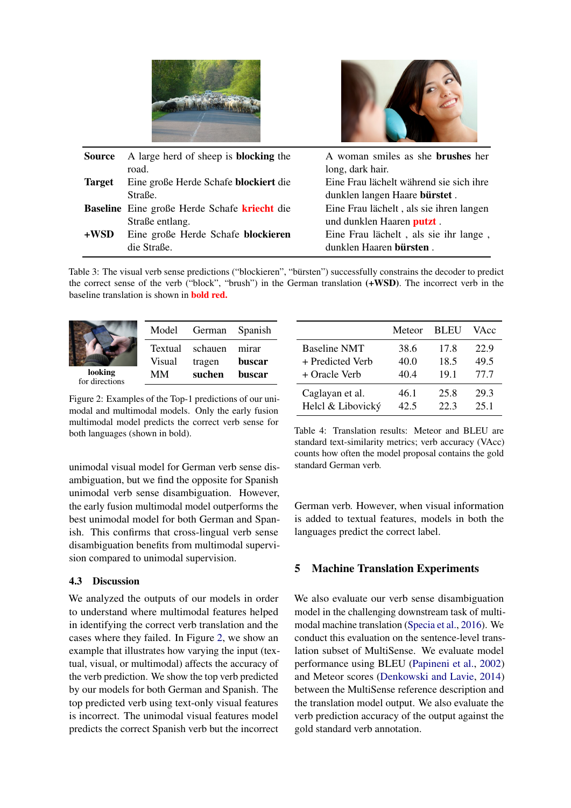



| <b>Source</b> | A large herd of sheep is <b>blocking</b> the | A woman smiles as she <b>brushes</b> her |
|---------------|----------------------------------------------|------------------------------------------|
|               | road.                                        | long, dark hair.                         |
| <b>Target</b> | Eine große Herde Schafe blockiert die        | Eine Frau lächelt während sie sich ihre  |
|               | Straße.                                      | dunklen langen Haare bürstet.            |
|               | Baseline Eine große Herde Schafe kriecht die | Eine Frau lächelt, als sie ihren langen  |
|               | Straße entlang.                              | und dunklen Haaren putzt.                |
| $+$ WSD       | Eine große Herde Schafe blockieren           | Eine Frau lächelt, als sie ihr lange,    |
|               | die Straße.                                  | dunklen Haaren bürsten.                  |

Table 3: The visual verb sense predictions ("blockieren", "bürsten") successfully constrains the decoder to predict the correct sense of the verb ("block", "brush") in the German translation (+WSD). The incorrect verb in the baseline translation is shown in bold red.

<span id="page-3-0"></span>

|                           | Model<br>Textual<br>Visual | German Spanish<br>schauen<br>tragen | mirar<br>buscar |
|---------------------------|----------------------------|-------------------------------------|-----------------|
| looking<br>for directions | MМ                         | suchen                              | buscar          |

Figure 2: Examples of the Top-1 predictions of our unimodal and multimodal models. Only the early fusion multimodal model predicts the correct verb sense for both languages (shown in bold).

unimodal visual model for German verb sense disambiguation, but we find the opposite for Spanish unimodal verb sense disambiguation. However, the early fusion multimodal model outperforms the best unimodal model for both German and Spanish. This confirms that cross-lingual verb sense disambiguation benefits from multimodal supervision compared to unimodal supervision.

# 4.3 Discussion

We analyzed the outputs of our models in order to understand where multimodal features helped in identifying the correct verb translation and the cases where they failed. In Figure [2,](#page-3-0) we show an example that illustrates how varying the input (textual, visual, or multimodal) affects the accuracy of the verb prediction. We show the top verb predicted by our models for both German and Spanish. The top predicted verb using text-only visual features is incorrect. The unimodal visual features model predicts the correct Spanish verb but the incorrect

<span id="page-3-1"></span>

|                   | Meteor | <b>BLEU</b> | VAcc |
|-------------------|--------|-------------|------|
| Baseline NMT      | 38.6   | 17.8        | 22.9 |
| + Predicted Verb  | 40.0   | 18.5        | 49.5 |
| + Oracle Verb     | 40.4   | 19.1        | 77.7 |
| Caglayan et al.   | 46.1   | 25.8        | 29.3 |
| Helcl & Libovický | 42.5   | 22.3        | 25.1 |

Table 4: Translation results: Meteor and BLEU are standard text-similarity metrics; verb accuracy (VAcc) counts how often the model proposal contains the gold standard German verb.

German verb. However, when visual information is added to textual features, models in both the languages predict the correct label.

# 5 Machine Translation Experiments

We also evaluate our verb sense disambiguation model in the challenging downstream task of multimodal machine translation [\(Specia et al.,](#page-6-0) [2016\)](#page-6-0). We conduct this evaluation on the sentence-level translation subset of MultiSense. We evaluate model performance using BLEU [\(Papineni et al.,](#page-5-19) [2002\)](#page-5-19) and Meteor scores [\(Denkowski and Lavie,](#page-4-4) [2014\)](#page-4-4) between the MultiSense reference description and the translation model output. We also evaluate the verb prediction accuracy of the output against the gold standard verb annotation.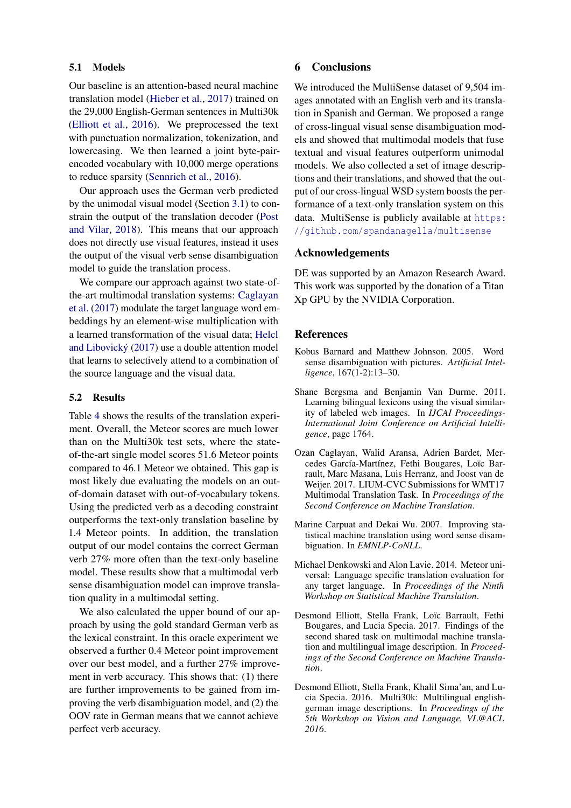# 5.1 Models

Our baseline is an attention-based neural machine translation model [\(Hieber et al.,](#page-5-20) [2017\)](#page-5-20) trained on the 29,000 English-German sentences in Multi30k [\(Elliott et al.,](#page-4-5) [2016\)](#page-4-5). We preprocessed the text with punctuation normalization, tokenization, and lowercasing. We then learned a joint byte-pairencoded vocabulary with 10,000 merge operations to reduce sparsity [\(Sennrich et al.,](#page-6-3) [2016\)](#page-6-3).

Our approach uses the German verb predicted by the unimodal visual model (Section [3.1\)](#page-2-6) to constrain the output of the translation decoder [\(Post](#page-5-21) [and Vilar,](#page-5-21) [2018\)](#page-5-21). This means that our approach does not directly use visual features, instead it uses the output of the visual verb sense disambiguation model to guide the translation process.

We compare our approach against two state-ofthe-art multimodal translation systems: [Caglayan](#page-4-6) [et al.](#page-4-6) [\(2017\)](#page-4-6) modulate the target language word embeddings by an element-wise multiplication with a learned transformation of the visual data; [Helcl](#page-5-22) [and Libovicky´](#page-5-22) [\(2017\)](#page-5-22) use a double attention model that learns to selectively attend to a combination of the source language and the visual data.

# 5.2 Results

Table [4](#page-3-1) shows the results of the translation experiment. Overall, the Meteor scores are much lower than on the Multi30k test sets, where the stateof-the-art single model scores 51.6 Meteor points compared to 46.1 Meteor we obtained. This gap is most likely due evaluating the models on an outof-domain dataset with out-of-vocabulary tokens. Using the predicted verb as a decoding constraint outperforms the text-only translation baseline by 1.4 Meteor points. In addition, the translation output of our model contains the correct German verb 27% more often than the text-only baseline model. These results show that a multimodal verb sense disambiguation model can improve translation quality in a multimodal setting.

We also calculated the upper bound of our approach by using the gold standard German verb as the lexical constraint. In this oracle experiment we observed a further 0.4 Meteor point improvement over our best model, and a further 27% improvement in verb accuracy. This shows that: (1) there are further improvements to be gained from improving the verb disambiguation model, and (2) the OOV rate in German means that we cannot achieve perfect verb accuracy.

# 6 Conclusions

We introduced the MultiSense dataset of 9.504 images annotated with an English verb and its translation in Spanish and German. We proposed a range of cross-lingual visual sense disambiguation models and showed that multimodal models that fuse textual and visual features outperform unimodal models. We also collected a set of image descriptions and their translations, and showed that the output of our cross-lingual WSD system boosts the performance of a text-only translation system on this data. MultiSense is publicly available at [https:](https://github.com/spandanagella/multisense) [//github.com/spandanagella/multisense](https://github.com/spandanagella/multisense)

# Acknowledgements

DE was supported by an Amazon Research Award. This work was supported by the donation of a Titan Xp GPU by the NVIDIA Corporation.

# **References**

- <span id="page-4-0"></span>Kobus Barnard and Matthew Johnson. 2005. Word sense disambiguation with pictures. *Artificial Intelligence*, 167(1-2):13–30.
- <span id="page-4-2"></span>Shane Bergsma and Benjamin Van Durme. 2011. Learning bilingual lexicons using the visual similarity of labeled web images. In *IJCAI Proceedings-International Joint Conference on Artificial Intelligence*, page 1764.
- <span id="page-4-6"></span>Ozan Caglayan, Walid Aransa, Adrien Bardet, Mercedes García-Martínez, Fethi Bougares, Loïc Barrault, Marc Masana, Luis Herranz, and Joost van de Weijer. 2017. LIUM-CVC Submissions for WMT17 Multimodal Translation Task. In *Proceedings of the Second Conference on Machine Translation*.
- <span id="page-4-1"></span>Marine Carpuat and Dekai Wu. 2007. Improving statistical machine translation using word sense disambiguation. In *EMNLP-CoNLL*.
- <span id="page-4-4"></span>Michael Denkowski and Alon Lavie. 2014. Meteor universal: Language specific translation evaluation for any target language. In *Proceedings of the Ninth Workshop on Statistical Machine Translation*.
- <span id="page-4-3"></span>Desmond Elliott, Stella Frank, Loïc Barrault, Fethi Bougares, and Lucia Specia. 2017. Findings of the second shared task on multimodal machine translation and multilingual image description. In *Proceedings of the Second Conference on Machine Translation*.
- <span id="page-4-5"></span>Desmond Elliott, Stella Frank, Khalil Sima'an, and Lucia Specia. 2016. Multi30k: Multilingual englishgerman image descriptions. In *Proceedings of the 5th Workshop on Vision and Language, VL@ACL 2016*.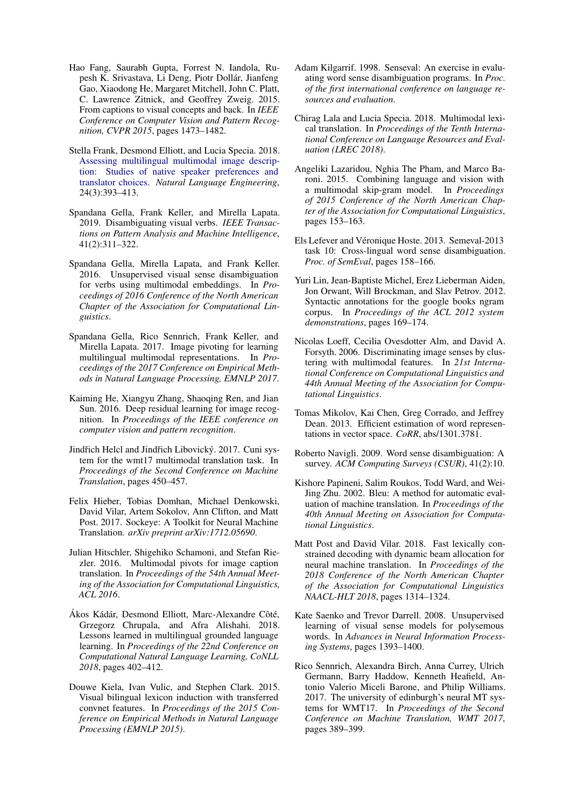- <span id="page-5-18"></span>Hao Fang, Saurabh Gupta, Forrest N. Iandola, Rupesh K. Srivastava, Li Deng, Piotr Dollar, Jianfeng ´ Gao, Xiaodong He, Margaret Mitchell, John C. Platt, C. Lawrence Zitnick, and Geoffrey Zweig. 2015. From captions to visual concepts and back. In *IEEE Conference on Computer Vision and Pattern Recognition, CVPR 2015*, pages 1473–1482.
- <span id="page-5-13"></span>Stella Frank, Desmond Elliott, and Lucia Specia. 2018. [Assessing multilingual multimodal image descrip](https://doi.org/10.1017/S1351324918000074)[tion: Studies of native speaker preferences and](https://doi.org/10.1017/S1351324918000074) [translator choices.](https://doi.org/10.1017/S1351324918000074) *Natural Language Engineering*, 24(3):393–413.
- <span id="page-5-4"></span>Spandana Gella, Frank Keller, and Mirella Lapata. 2019. Disambiguating visual verbs. *IEEE Transactions on Pattern Analysis and Machine Intelligence*, 41(2):311–322.
- <span id="page-5-3"></span>Spandana Gella, Mirella Lapata, and Frank Keller. 2016. Unsupervised visual sense disambiguation for verbs using multimodal embeddings. In *Proceedings of 2016 Conference of the North American Chapter of the Association for Computational Linguistics*.
- <span id="page-5-11"></span>Spandana Gella, Rico Sennrich, Frank Keller, and Mirella Lapata. 2017. Image pivoting for learning multilingual multimodal representations. In *Proceedings of the 2017 Conference on Empirical Methods in Natural Language Processing, EMNLP 2017*.
- <span id="page-5-17"></span>Kaiming He, Xiangyu Zhang, Shaoqing Ren, and Jian Sun. 2016. Deep residual learning for image recognition. In *Proceedings of the IEEE conference on computer vision and pattern recognition*.
- <span id="page-5-22"></span>Jindřich Helcl and Jindřich Libovický. 2017. Cuni system for the wmt17 multimodal translation task. In *Proceedings of the Second Conference on Machine Translation*, pages 450–457.
- <span id="page-5-20"></span>Felix Hieber, Tobias Domhan, Michael Denkowski, David Vilar, Artem Sokolov, Ann Clifton, and Matt Post. 2017. Sockeye: A Toolkit for Neural Machine Translation. *arXiv preprint arXiv:1712.05690*.
- <span id="page-5-7"></span>Julian Hitschler, Shigehiko Schamoni, and Stefan Riezler. 2016. Multimodal pivots for image caption translation. In *Proceedings of the 54th Annual Meeting of the Association for Computational Linguistics, ACL 2016*.
- <span id="page-5-12"></span>Ákos Kádár, Desmond Elliott, Marc-Alexandre Côté, Grzegorz Chrupala, and Afra Alishahi. 2018. Lessons learned in multilingual grounded language learning. In *Proceedings of the 22nd Conference on Computational Natural Language Learning, CoNLL 2018*, pages 402–412.
- <span id="page-5-10"></span>Douwe Kiela, Ivan Vulic, and Stephen Clark. 2015. Visual bilingual lexicon induction with transferred convnet features. In *Proceedings of the 2015 Conference on Empirical Methods in Natural Language Processing (EMNLP 2015)*.
- <span id="page-5-0"></span>Adam Kilgarrif. 1998. Senseval: An exercise in evaluating word sense disambiguation programs. In *Proc. of the first international conference on language resources and evaluation*.
- <span id="page-5-8"></span>Chirag Lala and Lucia Specia. 2018. Multimodal lexical translation. In *Proceedings of the Tenth International Conference on Language Resources and Evaluation (LREC 2018)*.
- <span id="page-5-15"></span>Angeliki Lazaridou, Nghia The Pham, and Marco Baroni. 2015. Combining language and vision with a multimodal skip-gram model. In *Proceedings of 2015 Conference of the North American Chapter of the Association for Computational Linguistics*, pages 153–163.
- <span id="page-5-9"></span>Els Lefever and Véronique Hoste. 2013. Semeval-2013 task 10: Cross-lingual word sense disambiguation. *Proc. of SemEval*, pages 158–166.
- <span id="page-5-14"></span>Yuri Lin, Jean-Baptiste Michel, Erez Lieberman Aiden, Jon Orwant, Will Brockman, and Slav Petrov. 2012. Syntactic annotations for the google books ngram corpus. In *Proceedings of the ACL 2012 system demonstrations*, pages 169–174.
- <span id="page-5-1"></span>Nicolas Loeff, Cecilia Ovesdotter Alm, and David A. Forsyth. 2006. Discriminating image senses by clustering with multimodal features. In *21st International Conference on Computational Linguistics and 44th Annual Meeting of the Association for Computational Linguistics*.
- <span id="page-5-16"></span>Tomas Mikolov, Kai Chen, Greg Corrado, and Jeffrey Dean. 2013. Efficient estimation of word representations in vector space. *CoRR*, abs/1301.3781.
- <span id="page-5-5"></span>Roberto Navigli. 2009. Word sense disambiguation: A survey. *ACM Computing Surveys (CSUR)*, 41(2):10.
- <span id="page-5-19"></span>Kishore Papineni, Salim Roukos, Todd Ward, and Wei-Jing Zhu. 2002. Bleu: A method for automatic evaluation of machine translation. In *Proceedings of the 40th Annual Meeting on Association for Computational Linguistics*.
- <span id="page-5-21"></span>Matt Post and David Vilar. 2018. Fast lexically constrained decoding with dynamic beam allocation for neural machine translation. In *Proceedings of the 2018 Conference of the North American Chapter of the Association for Computational Linguistics NAACL-HLT 2018*, pages 1314–1324.
- <span id="page-5-2"></span>Kate Saenko and Trevor Darrell. 2008. Unsupervised learning of visual sense models for polysemous words. In *Advances in Neural Information Processing Systems*, pages 1393–1400.
- <span id="page-5-6"></span>Rico Sennrich, Alexandra Birch, Anna Currey, Ulrich Germann, Barry Haddow, Kenneth Heafield, Antonio Valerio Miceli Barone, and Philip Williams. 2017. The university of edinburgh's neural MT systems for WMT17. In *Proceedings of the Second Conference on Machine Translation, WMT 2017*, pages 389–399.